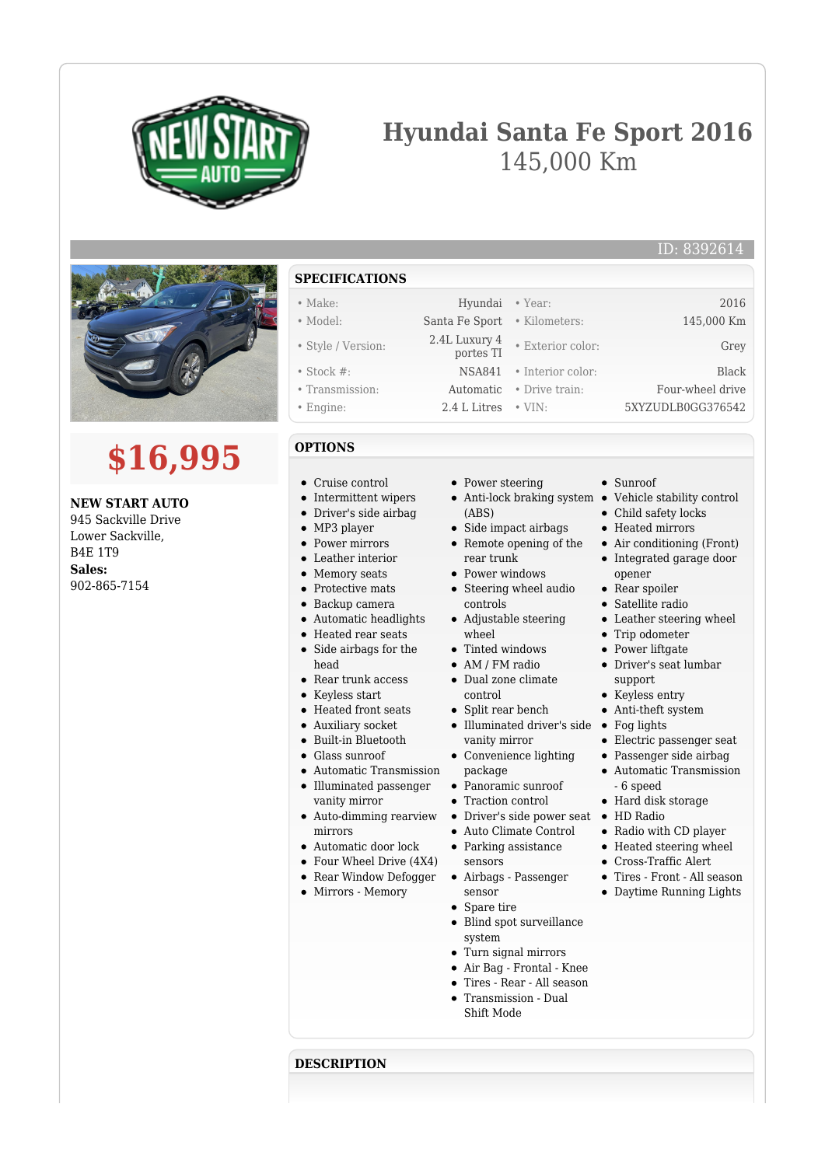

# **Hyundai Santa Fe Sport 2016** 145,000 Km



# **\$16,995**

### **NEW START AUTO**

945 Sackville Drive Lower Sackville, B4E 1T9 **Sales:** 902-865-7154

- **SPECIFICATIONS**
- Make: Hyundai Year: 2016 • Model: Santa Fe Sport • Kilometers: 145,000 Km
- Style / Version: 2.4L Luxury 4
- 
- Stock #: NSA841 Interior color: Black
- Transmission: Automatic Drive train: Four-wheel drive • Engine: 2.4 L Litres • VIN: 5XYZUDLB0GG376542
- 

# **OPTIONS**

- Cruise control
- Intermittent wipers
- Driver's side airbag
- MP3 player
- Power mirrors
- Leather interior
- Memory seats
- Protective mats
- Backup camera
- Automatic headlights
- Heated rear seats
- $\bullet$ Side airbags for the head
- Rear trunk access
- Keyless start
- Heated front seats
- Auxiliary socket
- Built-in Bluetooth
- Glass sunroof
- Automatic Transmission
- Illuminated passenger vanity mirror
- Auto-dimming rearview mirrors
- Automatic door lock
- Four Wheel Drive (4X4)
- Rear Window Defogger
- Mirrors Memory
- Power steering
- Anti-lock braking system Vehicle stability control (ABS)
- 
- Side impact airbags Remote opening of the rear trunk
- Power windows
- Steering wheel audio controls
- Adjustable steering wheel
- Tinted windows
- AM / FM radio
- Dual zone climate control
- Split rear bench
- Illuminated driver's side Fog lights vanity mirror
- Convenience lighting package
- Panoramic sunroof
- Traction control
- Driver's side power seat HD Radio
- Auto Climate Control
- Parking assistance sensors
- Airbags Passenger sensor
- Spare tire
- Blind spot surveillance system
- Turn signal mirrors
- Air Bag Frontal Knee
- Tires Rear All season
- Transmission Dual Shift Mode

#### **DESCRIPTION**

• Child safety locks

• Sunroof

• Exterior color: Grey

- Heated mirrors
- Air conditioning (Front) Integrated garage door

ID: 8392614

- Rear spoiler
- 
- 
- Trip odometer
- 
- Driver's seat lumbar support
- 
- 
- 
- Electric passenger seat
- Passenger side airbag
- Automatic Transmission
- 6 speed
	- Hard disk storage
	-
	- Radio with CD player
	- Heated steering wheel
	- Cross-Traffic Alert
	- Tires Front All season
	- Daytime Running Lights
- opener
- 
- Satellite radio
- Leather steering wheel
- 
- Power liftgate
- 
- Keyless entry
- Anti-theft system
- 
- 
-